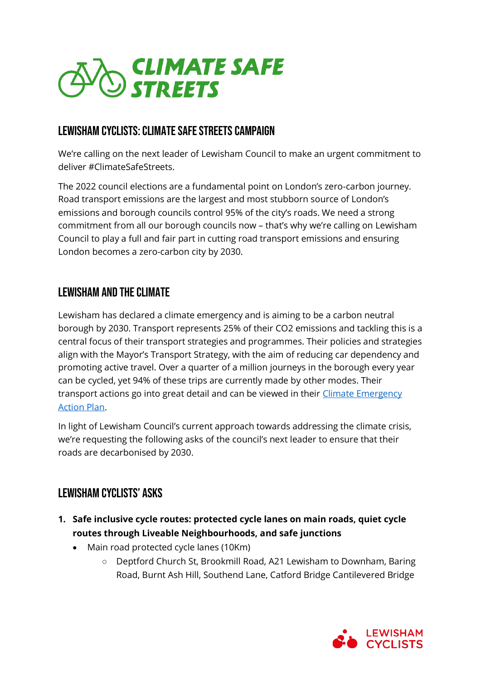

# LEWISHAM CYCLISTS: CLIMATE SAFE STREETS CAMPAIGN

We're calling on the next leader of Lewisham Council to make an urgent commitment to deliver #ClimateSafeStreets.

The 2022 council elections are a fundamental point on London's zero-carbon journey. Road transport emissions are the largest and most stubborn source of London's emissions and borough councils control 95% of the city's roads. We need a strong commitment from all our borough councils now – that's why we're calling on Lewisham Council to play a full and fair part in cutting road transport emissions and ensuring London becomes a zero-carbon city by 2030.

### LEWISHAM and the Climate

Lewisham has declared a climate emergency and is aiming to be a carbon neutral borough by 2030. Transport represents 25% of their CO2 emissions and tackling this is a central focus of their transport strategies and programmes. Their policies and strategies align with the Mayor's Transport Strategy, with the aim of reducing car dependency and promoting active travel. Over a quarter of a million journeys in the borough every year can be cycled, yet 94% of these trips are currently made by other modes. Their transport actions go into great detail and can be viewed in their [Climate Emergency](https://councilmeetings.lewisham.gov.uk/documents/s81350/Climate%20Emergency%20Action%20Plan.pdf)  [Action Plan.](https://councilmeetings.lewisham.gov.uk/documents/s81350/Climate%20Emergency%20Action%20Plan.pdf)

In light of Lewisham Council's current approach towards addressing the climate crisis, we're requesting the following asks of the council's next leader to ensure that their roads are decarbonised by 2030.

## Lewisham cyclists' Asks

- **1. Safe inclusive cycle routes: protected cycle lanes on main roads, quiet cycle routes through Liveable Neighbourhoods, and safe junctions**
	- Main road protected cycle lanes (10Km)
		- Deptford Church St, Brookmill Road, A21 Lewisham to Downham, Baring Road, Burnt Ash Hill, Southend Lane, Catford Bridge Cantilevered Bridge